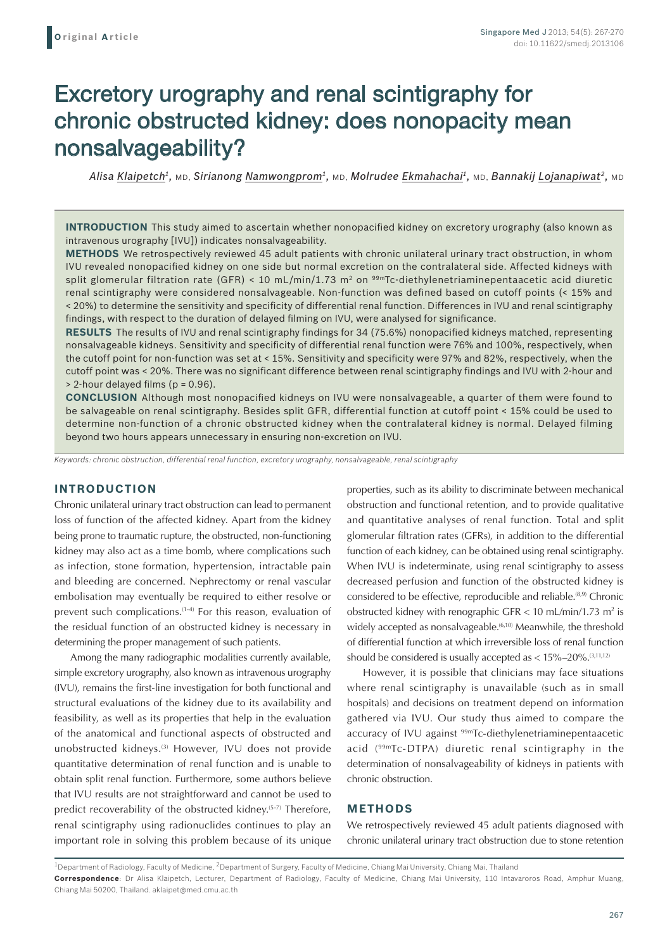# Excretory urography and renal scintigraphy for chronic obstructed kidney: does nonopacity mean nonsalvageability?

*Alisa Klaipetch1,* MD, *Sirianong Namwongprom1,* MD, *Molrudee Ekmahachai1,* MD, *Bannakij Lojanapiwat2,* MD

**INTRODUCTION** This study aimed to ascertain whether nonopacified kidney on excretory urography (also known as intravenous urography [IVU]) indicates nonsalvageability.

**METHODS** We retrospectively reviewed 45 adult patients with chronic unilateral urinary tract obstruction, in whom IVU revealed nonopacified kidney on one side but normal excretion on the contralateral side. Affected kidneys with split glomerular filtration rate (GFR) < 10 mL/min/1.73 m<sup>2</sup> on <sup>99m</sup>Tc-diethylenetriaminepentaacetic acid diuretic renal scintigraphy were considered nonsalvageable. Non-function was defined based on cutoff points (< 15% and < 20%) to determine the sensitivity and specificity of differential renal function. Differences in IVU and renal scintigraphy findings, with respect to the duration of delayed filming on IVU, were analysed for significance.

**RESULTS** The results of IVU and renal scintigraphy findings for 34 (75.6%) nonopacified kidneys matched, representing nonsalvageable kidneys. Sensitivity and specificity of differential renal function were 76% and 100%, respectively, when the cutoff point for non-function was set at < 15%. Sensitivity and specificity were 97% and 82%, respectively, when the cutoff point was < 20%. There was no significant difference between renal scintigraphy findings and IVU with 2-hour and > 2-hour delayed films (p = 0.96).

**CONCLUSION** Although most nonopacified kidneys on IVU were nonsalvageable, a quarter of them were found to be salvageable on renal scintigraphy. Besides split GFR, differential function at cutoff point < 15% could be used to determine non-function of a chronic obstructed kidney when the contralateral kidney is normal. Delayed filming beyond two hours appears unnecessary in ensuring non-excretion on IVU.

*Keywords: chronic obstruction, differential renal function, excretory urography, nonsalvageable, renal scintigraphy*

## **INTRODUCTION**

Chronic unilateral urinary tract obstruction can lead to permanent loss of function of the affected kidney. Apart from the kidney being prone to traumatic rupture, the obstructed, non-functioning kidney may also act as a time bomb, where complications such as infection, stone formation, hypertension, intractable pain and bleeding are concerned. Nephrectomy or renal vascular embolisation may eventually be required to either resolve or prevent such complications.<sup>(1-4)</sup> For this reason, evaluation of the residual function of an obstructed kidney is necessary in determining the proper management of such patients.

Among the many radiographic modalities currently available, simple excretory urography, also known as intravenous urography (IVU), remains the first-line investigation for both functional and structural evaluations of the kidney due to its availability and feasibility, as well as its properties that help in the evaluation of the anatomical and functional aspects of obstructed and unobstructed kidneys.<sup>(3)</sup> However, IVU does not provide quantitative determination of renal function and is unable to obtain split renal function. Furthermore, some authors believe that IVU results are not straightforward and cannot be used to predict recoverability of the obstructed kidney.<sup>(5-7)</sup> Therefore, renal scintigraphy using radionuclides continues to play an important role in solving this problem because of its unique properties, such as its ability to discriminate between mechanical obstruction and functional retention, and to provide qualitative and quantitative analyses of renal function. Total and split glomerular filtration rates (GFRs), in addition to the differential function of each kidney, can be obtained using renal scintigraphy. When IVU is indeterminate, using renal scintigraphy to assess decreased perfusion and function of the obstructed kidney is considered to be effective, reproducible and reliable.<sup>(8,9)</sup> Chronic obstructed kidney with renographic GFR  $<$  10 mL/min/1.73 m<sup>2</sup> is widely accepted as nonsalvageable.<sup>(6,10)</sup> Meanwhile, the threshold of differential function at which irreversible loss of renal function should be considered is usually accepted as  $< 15\% - 20\%$ .  $^{(3,11,12)}$ 

However, it is possible that clinicians may face situations where renal scintigraphy is unavailable (such as in small hospitals) and decisions on treatment depend on information gathered via IVU. Our study thus aimed to compare the accuracy of IVU against <sup>99m</sup>Tc-diethylenetriaminepentaacetic acid (99mTc-DTPA) diuretic renal scintigraphy in the determination of nonsalvageability of kidneys in patients with chronic obstruction.

## **METHODS**

We retrospectively reviewed 45 adult patients diagnosed with chronic unilateral urinary tract obstruction due to stone retention

 $1$ Department of Radiology, Faculty of Medicine,  $2$ Department of Surgery, Faculty of Medicine, Chiang Mai University, Chiang Mai, Thailand **Correspondence**: Dr Alisa Klaipetch, Lecturer, Department of Radiology, Faculty of Medicine, Chiang Mai University, 110 Intavaroros Road, Amphur Muang,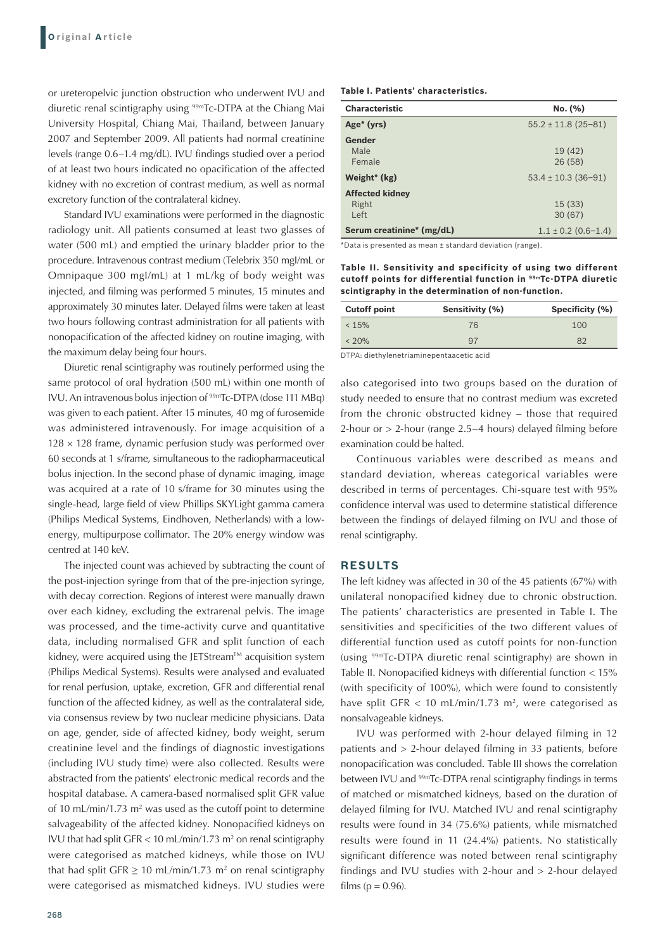or ureteropelvic junction obstruction who underwent IVU and diuretic renal scintigraphy using 99mTc-DTPA at the Chiang Mai University Hospital, Chiang Mai, Thailand, between January 2007 and September 2009. All patients had normal creatinine levels (range 0.6–1.4 mg/dL). IVU findings studied over a period of at least two hours indicated no opacification of the affected kidney with no excretion of contrast medium, as well as normal excretory function of the contralateral kidney.

Standard IVU examinations were performed in the diagnostic radiology unit. All patients consumed at least two glasses of water (500 mL) and emptied the urinary bladder prior to the procedure. Intravenous contrast medium (Telebrix 350 mgI/mL or Omnipaque 300 mgI/mL) at 1 mL/kg of body weight was injected, and filming was performed 5 minutes, 15 minutes and approximately 30 minutes later. Delayed films were taken at least two hours following contrast administration for all patients with nonopacification of the affected kidney on routine imaging, with the maximum delay being four hours.

Diuretic renal scintigraphy was routinely performed using the same protocol of oral hydration (500 mL) within one month of IVU. An intravenous bolus injection of 99mTc-DTPA (dose 111 MBq) was given to each patient. After 15 minutes, 40 mg of furosemide was administered intravenously. For image acquisition of a  $128 \times 128$  frame, dynamic perfusion study was performed over 60 seconds at 1 s/frame, simultaneous to the radiopharmaceutical bolus injection. In the second phase of dynamic imaging, image was acquired at a rate of 10 s/frame for 30 minutes using the single-head, large field of view Phillips SKYLight gamma camera (Philips Medical Systems, Eindhoven, Netherlands) with a lowenergy, multipurpose collimator. The 20% energy window was centred at 140 keV.

The injected count was achieved by subtracting the count of the post-injection syringe from that of the pre-injection syringe, with decay correction. Regions of interest were manually drawn over each kidney, excluding the extrarenal pelvis. The image was processed, and the time-activity curve and quantitative data, including normalised GFR and split function of each kidney, were acquired using the JETStream™ acquisition system (Philips Medical Systems). Results were analysed and evaluated for renal perfusion, uptake, excretion, GFR and differential renal function of the affected kidney, as well as the contralateral side, via consensus review by two nuclear medicine physicians. Data on age, gender, side of affected kidney, body weight, serum creatinine level and the findings of diagnostic investigations (including IVU study time) were also collected. Results were abstracted from the patients' electronic medical records and the hospital database. A camera-based normalised split GFR value of 10 mL/min/1.73  $m<sup>2</sup>$  was used as the cutoff point to determine salvageability of the affected kidney. Nonopacified kidneys on IVU that had split  $GFR < 10$  mL/min/1.73 m<sup>2</sup> on renal scintigraphy were categorised as matched kidneys, while those on IVU that had split  $GFR \ge 10$  mL/min/1.73 m<sup>2</sup> on renal scintigraphy were categorised as mismatched kidneys. IVU studies were

#### **Table I. Patients' characteristics.**

| <b>Characteristic</b>     | No. (%)                 |
|---------------------------|-------------------------|
| Age <sup>*</sup> (yrs)    | $55.2 \pm 11.8$ (25-81) |
| Gender                    |                         |
| Male                      | 19 (42)                 |
| Female                    | 26(58)                  |
| Weight* (kg)              | $53.4 \pm 10.3$ (36-91) |
| <b>Affected kidney</b>    |                         |
| Right                     | 15(33)                  |
| Left                      | 30(67)                  |
| Serum creatinine* (mg/dL) | $1.1 \pm 0.2$ (0.6-1.4) |

\*Data is presented as mean ± standard deviation (range).

**Table II. Sensitivity and specificity of using two different cutoff points for differential function in 99mTc-DTPA diuretic scintigraphy in the determination of non-function.**

| <b>Cutoff point</b> | Sensitivity (%) | Specificity (%) |  |
|---------------------|-----------------|-----------------|--|
| < 15%               | 76              | 100             |  |
| $< 20\%$            | 97              | 82              |  |

DTPA: diethylenetriaminepentaacetic acid

also categorised into two groups based on the duration of study needed to ensure that no contrast medium was excreted from the chronic obstructed kidney – those that required 2-hour or > 2-hour (range 2.5–4 hours) delayed filming before examination could be halted.

Continuous variables were described as means and standard deviation, whereas categorical variables were described in terms of percentages. Chi-square test with 95% confidence interval was used to determine statistical difference between the findings of delayed filming on IVU and those of renal scintigraphy.

## **RESULTS**

The left kidney was affected in 30 of the 45 patients (67%) with unilateral nonopacified kidney due to chronic obstruction. The patients' characteristics are presented in Table I. The sensitivities and specificities of the two different values of differential function used as cutoff points for non-function (using 99mTc-DTPA diuretic renal scintigraphy) are shown in Table II. Nonopacified kidneys with differential function < 15% (with specificity of 100%), which were found to consistently have split GFR  $< 10$  mL/min/1.73 m<sup>2</sup>, were categorised as nonsalvageable kidneys.

IVU was performed with 2-hour delayed filming in 12 patients and > 2-hour delayed filming in 33 patients, before nonopacification was concluded. Table III shows the correlation between IVU and <sup>99m</sup>Tc-DTPA renal scintigraphy findings in terms of matched or mismatched kidneys, based on the duration of delayed filming for IVU. Matched IVU and renal scintigraphy results were found in 34 (75.6%) patients, while mismatched results were found in 11 (24.4%) patients. No statistically significant difference was noted between renal scintigraphy findings and IVU studies with 2-hour and > 2-hour delayed films ( $p = 0.96$ ).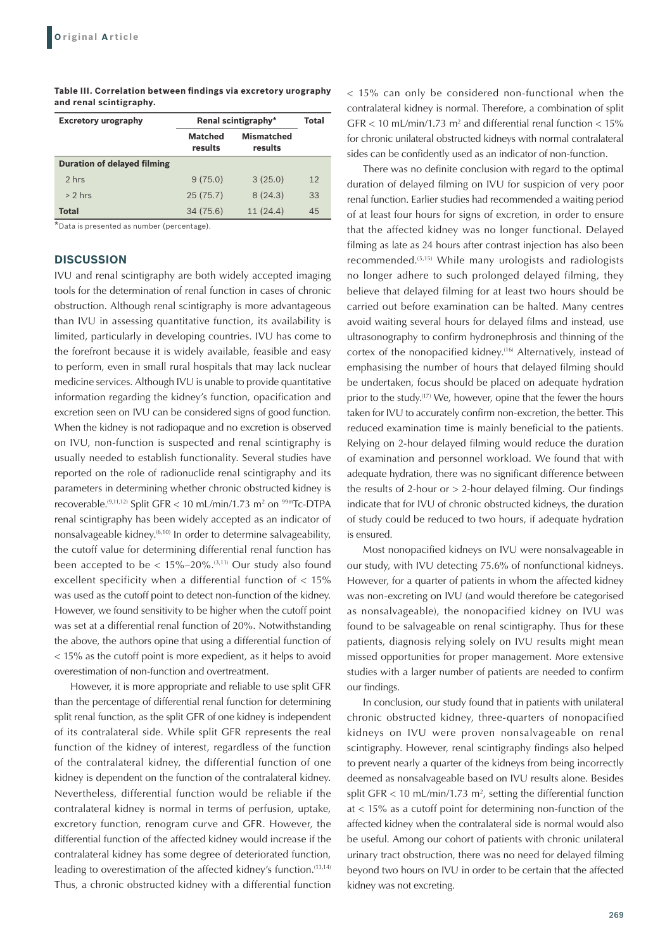| <b>Excretory urography</b>   | Renal scintigraphy*       |                              | Total |
|------------------------------|---------------------------|------------------------------|-------|
|                              | <b>Matched</b><br>results | <b>Mismatched</b><br>results |       |
| Duration of delayed filming  |                           |                              |       |
| 2 hrs                        | 9(75.0)                   | 3(25.0)                      | 12    |
| $> 2$ hrs                    | 25(75.7)                  | 8(24.3)                      | 33    |
| <b>Total</b><br>$\mathbf{A}$ | 34(75.6)                  | 11(24.4)                     | 45    |

**Table III. Correlation between findings via excretory urography and renal scintigraphy.**

\*Data is presented as number (percentage).

### **DISCUSSION**

IVU and renal scintigraphy are both widely accepted imaging tools for the determination of renal function in cases of chronic obstruction. Although renal scintigraphy is more advantageous than IVU in assessing quantitative function, its availability is limited, particularly in developing countries. IVU has come to the forefront because it is widely available, feasible and easy to perform, even in small rural hospitals that may lack nuclear medicine services. Although IVU is unable to provide quantitative information regarding the kidney's function, opacification and excretion seen on IVU can be considered signs of good function. When the kidney is not radiopaque and no excretion is observed on IVU, non-function is suspected and renal scintigraphy is usually needed to establish functionality. Several studies have reported on the role of radionuclide renal scintigraphy and its parameters in determining whether chronic obstructed kidney is recoverable.<sup>(9,11,12)</sup> Split GFR < 10 mL/min/1.73 m<sup>2</sup> on <sup>99m</sup>Tc-DTPA renal scintigraphy has been widely accepted as an indicator of nonsalvageable kidney.<sup>(6,10)</sup> In order to determine salvageability, the cutoff value for determining differential renal function has been accepted to be  $< 15\% - 20\%$ .  $(3,11)$  Our study also found excellent specificity when a differential function of < 15% was used as the cutoff point to detect non-function of the kidney. However, we found sensitivity to be higher when the cutoff point was set at a differential renal function of 20%. Notwithstanding the above, the authors opine that using a differential function of < 15% as the cutoff point is more expedient, as it helps to avoid overestimation of non-function and overtreatment.

However, it is more appropriate and reliable to use split GFR than the percentage of differential renal function for determining split renal function, as the split GFR of one kidney is independent of its contralateral side. While split GFR represents the real function of the kidney of interest, regardless of the function of the contralateral kidney, the differential function of one kidney is dependent on the function of the contralateral kidney. Nevertheless, differential function would be reliable if the contralateral kidney is normal in terms of perfusion, uptake, excretory function, renogram curve and GFR. However, the differential function of the affected kidney would increase if the contralateral kidney has some degree of deteriorated function, leading to overestimation of the affected kidney's function.<sup>(13,14)</sup> Thus, a chronic obstructed kidney with a differential function

< 15% can only be considered non-functional when the contralateral kidney is normal. Therefore, a combination of split  $GFR < 10$  mL/min/1.73 m<sup>2</sup> and differential renal function  $< 15\%$ for chronic unilateral obstructed kidneys with normal contralateral sides can be confidently used as an indicator of non-function.

There was no definite conclusion with regard to the optimal duration of delayed filming on IVU for suspicion of very poor renal function. Earlier studies had recommended a waiting period of at least four hours for signs of excretion, in order to ensure that the affected kidney was no longer functional. Delayed filming as late as 24 hours after contrast injection has also been recommended.(5,15) While many urologists and radiologists no longer adhere to such prolonged delayed filming, they believe that delayed filming for at least two hours should be carried out before examination can be halted. Many centres avoid waiting several hours for delayed films and instead, use ultrasonography to confirm hydronephrosis and thinning of the cortex of the nonopacified kidney.<sup>(16)</sup> Alternatively, instead of emphasising the number of hours that delayed filming should be undertaken, focus should be placed on adequate hydration prior to the study.<sup>(17)</sup> We, however, opine that the fewer the hours taken for IVU to accurately confirm non-excretion, the better. This reduced examination time is mainly beneficial to the patients. Relying on 2-hour delayed filming would reduce the duration of examination and personnel workload. We found that with adequate hydration, there was no significant difference between the results of 2-hour or  $> 2$ -hour delayed filming. Our findings indicate that for IVU of chronic obstructed kidneys, the duration of study could be reduced to two hours, if adequate hydration is ensured.

Most nonopacified kidneys on IVU were nonsalvageable in our study, with IVU detecting 75.6% of nonfunctional kidneys. However, for a quarter of patients in whom the affected kidney was non-excreting on IVU (and would therefore be categorised as nonsalvageable), the nonopacified kidney on IVU was found to be salvageable on renal scintigraphy. Thus for these patients, diagnosis relying solely on IVU results might mean missed opportunities for proper management. More extensive studies with a larger number of patients are needed to confirm our findings.

In conclusion, our study found that in patients with unilateral chronic obstructed kidney, three-quarters of nonopacified kidneys on IVU were proven nonsalvageable on renal scintigraphy. However, renal scintigraphy findings also helped to prevent nearly a quarter of the kidneys from being incorrectly deemed as nonsalvageable based on IVU results alone. Besides split GFR  $<$  10 mL/min/1.73 m<sup>2</sup>, setting the differential function at < 15% as a cutoff point for determining non-function of the affected kidney when the contralateral side is normal would also be useful. Among our cohort of patients with chronic unilateral urinary tract obstruction, there was no need for delayed filming beyond two hours on IVU in order to be certain that the affected kidney was not excreting.